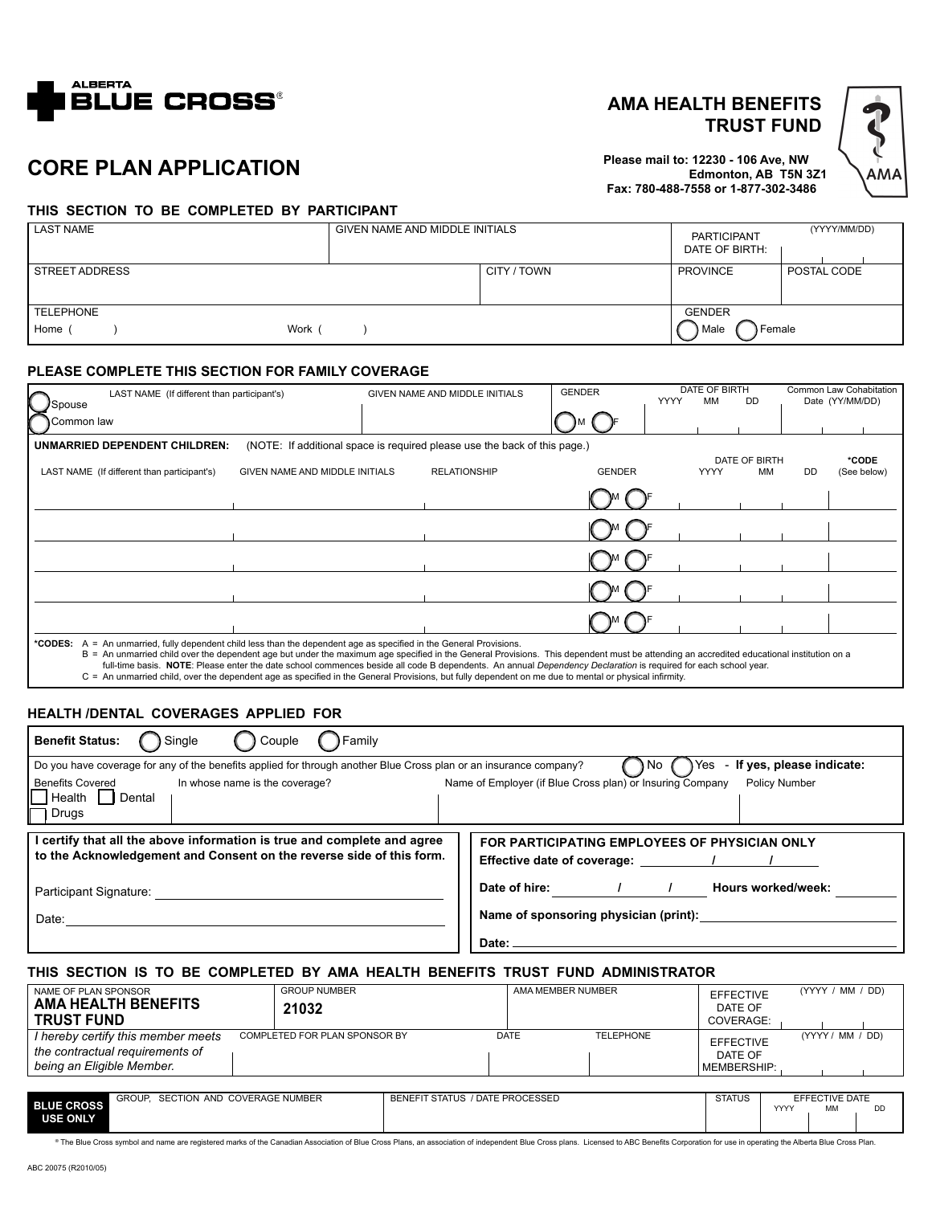

## **AMA HEALTH BENEFITS TRUST FUND**

**Please mail to: 12230 - 106 Ave, NW Edmonton, AB T5N 3Z1 Fax: 780-488-7558 or 1-877-302-3486**



# **CORE PLAN APPLICATION**

#### **THIS SECTION TO BE COMPLETED BY PARTICIPANT**

| <b>LAST NAME</b>                   | GIVEN NAME AND MIDDLE INITIALS |             | <b>PARTICIPANT</b><br>DATE OF BIRTH: | (YYYY/MM/DD) |
|------------------------------------|--------------------------------|-------------|--------------------------------------|--------------|
| STREET ADDRESS                     |                                | CITY / TOWN | <b>PROVINCE</b>                      | POSTAL CODE  |
| <b>TELEPHONE</b><br>Home (<br>Work |                                |             | <b>GENDER</b><br>Female<br>Male      |              |

#### **PLEASE COMPLETE THIS SECTION FOR FAMILY COVERAGE**

| LAST NAME (If different than participant's)<br><i>J</i> Spouse                                                                                                                                                                                                                                                                                                                                                                                                                       |                                | GIVEN NAME AND MIDDLE INITIALS |                                                                           | <b>GENDER</b> | DATE OF BIRTH<br><b>YYYY</b><br>мм |             | DD.                 | Common Law Cohabitation<br>Date (YY/MM/DD) |                      |  |
|--------------------------------------------------------------------------------------------------------------------------------------------------------------------------------------------------------------------------------------------------------------------------------------------------------------------------------------------------------------------------------------------------------------------------------------------------------------------------------------|--------------------------------|--------------------------------|---------------------------------------------------------------------------|---------------|------------------------------------|-------------|---------------------|--------------------------------------------|----------------------|--|
| Common law                                                                                                                                                                                                                                                                                                                                                                                                                                                                           |                                |                                |                                                                           |               |                                    |             |                     |                                            |                      |  |
| UNMARRIED DEPENDENT CHILDREN:                                                                                                                                                                                                                                                                                                                                                                                                                                                        |                                |                                | (NOTE: If additional space is required please use the back of this page.) |               |                                    |             |                     |                                            |                      |  |
| LAST NAME (If different than participant's)                                                                                                                                                                                                                                                                                                                                                                                                                                          | GIVEN NAME AND MIDDLE INITIALS |                                | <b>RELATIONSHIP</b>                                                       | <b>GENDER</b> |                                    | <b>YYYY</b> | DATE OF BIRTH<br>MМ | <b>DD</b>                                  | *CODE<br>(See below) |  |
|                                                                                                                                                                                                                                                                                                                                                                                                                                                                                      |                                |                                |                                                                           |               |                                    |             |                     |                                            |                      |  |
|                                                                                                                                                                                                                                                                                                                                                                                                                                                                                      |                                |                                |                                                                           |               |                                    |             |                     |                                            |                      |  |
|                                                                                                                                                                                                                                                                                                                                                                                                                                                                                      |                                |                                |                                                                           |               |                                    |             |                     |                                            |                      |  |
|                                                                                                                                                                                                                                                                                                                                                                                                                                                                                      |                                |                                |                                                                           |               |                                    |             |                     |                                            |                      |  |
|                                                                                                                                                                                                                                                                                                                                                                                                                                                                                      |                                |                                |                                                                           |               |                                    |             |                     |                                            |                      |  |
| A = An unmarried, fully dependent child less than the dependent age as specified in the General Provisions.<br>*CODES:<br>B = An unmarried child over the dependent age but under the maximum age specified in the General Provisions. This dependent must be attending an accredited educational institution on a<br>full-time basis. NOTE: Please enter the date school commences beside all code B dependents. An annual Dependency Declaration is required for each school year. |                                |                                |                                                                           |               |                                    |             |                     |                                            |                      |  |

full-time basis. NOTE: Please enter the date school commences beside all code B dependents. An annual Dependency Declaration is required for each school year.<br>C = An unmarried child, over the dependent age as specified in

#### **HEALTH /DENTAL COVERAGES APPLIED FOR**

| <b>Benefit Status:</b><br>Single<br>Family<br>Couple                                                                                                         |                                                                                     |  |  |  |  |  |  |
|--------------------------------------------------------------------------------------------------------------------------------------------------------------|-------------------------------------------------------------------------------------|--|--|--|--|--|--|
| If yes, please indicate:<br>Do you have coverage for any of the benefits applied for through another Blue Cross plan or an insurance company?<br>Yes<br>۱No. |                                                                                     |  |  |  |  |  |  |
| <b>Benefits Covered</b><br>In whose name is the coverage?<br>Health<br>Dental<br><sub>I</sub> Drugs                                                          | Name of Employer (if Blue Cross plan) or Insuring Company<br><b>Policy Number</b>   |  |  |  |  |  |  |
| I certify that all the above information is true and complete and agree<br>to the Acknowledgement and Consent on the reverse side of this form.              | FOR PARTICIPATING EMPLOYEES OF PHYSICIAN ONLY<br><b>Effective date of coverage:</b> |  |  |  |  |  |  |
| Participant Signature:                                                                                                                                       | Date of hire:<br>Hours worked/week:                                                 |  |  |  |  |  |  |
| Date:                                                                                                                                                        | Name of sponsoring physician (print):                                               |  |  |  |  |  |  |
|                                                                                                                                                              | Date:                                                                               |  |  |  |  |  |  |

### **THIS SECTION IS TO BE COMPLETED BY AMA HEALTH BENEFITS TRUST FUND ADMINISTRATOR**

| NAME OF PLAN SPONSOR<br><b>TRUST FUND</b> | <b>AMA HEALTH BENEFITS</b>                                            | <b>GROUP NUMBER</b><br>21032  |                                 | AMA MEMBER NUMBER |                  | <b>EFFECTIVE</b><br>DATE OF<br>COVERAGE:   |      | (YYYY / MM / DD)     |    |
|-------------------------------------------|-----------------------------------------------------------------------|-------------------------------|---------------------------------|-------------------|------------------|--------------------------------------------|------|----------------------|----|
| being an Eligible Member.                 | I hereby certify this member meets<br>the contractual requirements of | COMPLETED FOR PLAN SPONSOR BY |                                 | <b>DATE</b>       | <b>TELEPHONE</b> | <b>EFFECTIVE</b><br>DATE OF<br>MEMBERSHIP: |      | (YYYY / MM / DD)     |    |
|                                           |                                                                       |                               |                                 |                   |                  |                                            |      |                      |    |
| <b>BLUE CROSS</b>                         | GROUP. SECTION AND COVERAGE NUMBER                                    |                               | BENEFIT STATUS / DATE PROCESSED |                   |                  | <b>STATUS</b>                              | YYYY | EFFECTIVE DATE<br>MМ | DD |

**BLUE CROSS<br>USE ONLY** 

® The Blue Cross symbol and name are registered marks of the Canadian Association of Blue Cross Plans, an association of independent Blue Cross plans. Licensed to ABC Benefits Corporation for use in operating the Alberta B